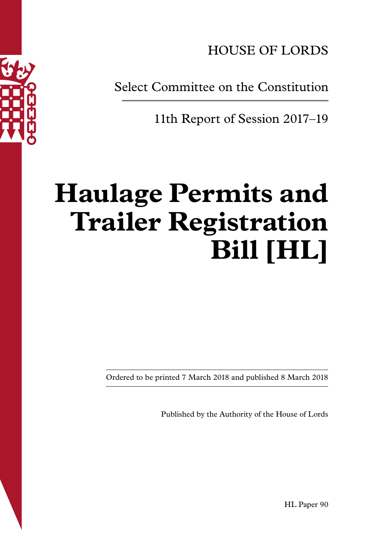

Select Committee on the Constitution

11th Report of Session 2017–19

# **Haulage Permits and Trailer Registration Bill [HL]**

Ordered to be printed 7 March 2018 and published 8 March 2018

Published by the Authority of the House of Lords

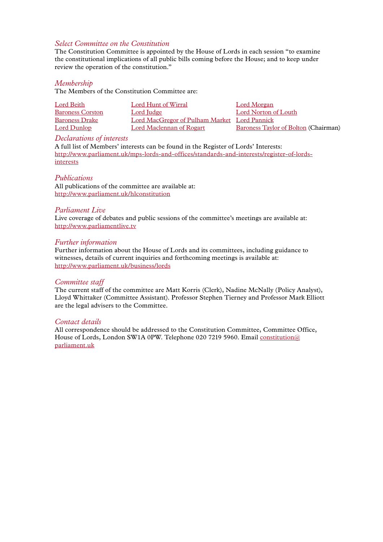#### *Select Committee on the Constitution*

The Constitution Committee is appointed by the House of Lords in each session "to examine the constitutional implications of all public bills coming before the House; and to keep under review the operation of the constitution."

#### *Membership*

The Members of the Constitution Committee are:

| Lord Beith              | Lord Hunt of Wirral                          | Lord Morgan                                 |
|-------------------------|----------------------------------------------|---------------------------------------------|
| <b>Baroness Corston</b> | Lord Judge                                   | Lord Norton of Louth                        |
| <b>Baroness Drake</b>   | Lord MacGregor of Pulham Market Lord Pannick |                                             |
| Lord Dunlop             | Lord Maclennan of Rogart                     | <b>Baroness Taylor of Bolton (Chairman)</b> |

#### *Declarations of interests*

A full list of Members' interests can be found in the Register of Lords' Interests: [http://www.parliament.uk/mps-lords-and-offices/standards-and-interests/register-of-lords](http://www.parliament.uk/mps-lords-and-offices/standards-and-interests/register-of-lords-interests)[interests](http://www.parliament.uk/mps-lords-and-offices/standards-and-interests/register-of-lords-interests)

#### *Publications*

All publications of the committee are available at: <http://www.parliament.uk/hlconstitution>

#### *Parliament Live*

Live coverage of debates and public sessions of the committee's meetings are available at: <http://www.parliamentlive.tv>

#### *Further information*

Further information about the House of Lords and its committees, including guidance to witnesses, details of current inquiries and forthcoming meetings is available at: <http://www.parliament.uk/business/lords>

#### *Committee staff*

The current staff of the committee are Matt Korris (Clerk), Nadine McNally (Policy Analyst), Lloyd Whittaker (Committee Assistant). Professor Stephen Tierney and Professor Mark Elliott are the legal advisers to the Committee.

#### *Contact details*

All correspondence should be addressed to the Constitution Committee, Committee Office, House of Lords, London SW1A 0PW. Telephone 020 7219 5960. Email [constitution@](mailto:constitution@parliament.uk) [parliament.uk](mailto:constitution@parliament.uk)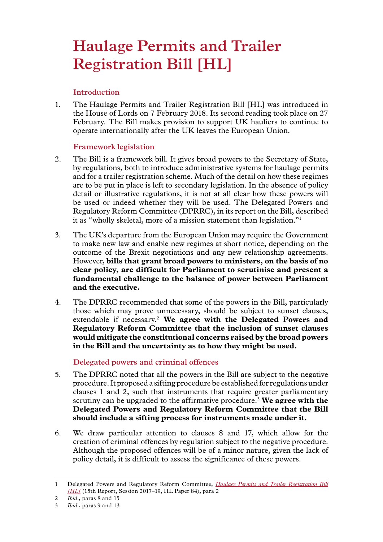# **Haulage Permits and Trailer Registration Bill [HL]**

## **Introduction**

1. The Haulage Permits and Trailer Registration Bill [HL] was introduced in the House of Lords on 7 February 2018. Its second reading took place on 27 February. The Bill makes provision to support UK hauliers to continue to operate internationally after the UK leaves the European Union.

### **Framework legislation**

- 2. The Bill is a framework bill. It gives broad powers to the Secretary of State, by regulations, both to introduce administrative systems for haulage permits and for a trailer registration scheme. Much of the detail on how these regimes are to be put in place is left to secondary legislation. In the absence of policy detail or illustrative regulations, it is not at all clear how these powers will be used or indeed whether they will be used. The Delegated Powers and Regulatory Reform Committee (DPRRC), in its report on the Bill, described it as "wholly skeletal, more of a mission statement than legislation."1
- 3. The UK's departure from the European Union may require the Government to make new law and enable new regimes at short notice, depending on the outcome of the Brexit negotiations and any new relationship agreements. However, **bills that grant broad powers to ministers, on the basis of no clear policy, are difficult for Parliament to scrutinise and present a fundamental challenge to the balance of power between Parliament and the executive.**
- 4. The DPRRC recommended that some of the powers in the Bill, particularly those which may prove unnecessary, should be subject to sunset clauses, extendable if necessary.2 **We agree with the Delegated Powers and Regulatory Reform Committee that the inclusion of sunset clauses would mitigate the constitutional concerns raised by the broad powers in the Bill and the uncertainty as to how they might be used.**

# **Delegated powers and criminal offences**

- 5. The DPRRC noted that all the powers in the Bill are subject to the negative procedure. It proposed a sifting procedure be established for regulations under clauses 1 and 2, such that instruments that require greater parliamentary scrutiny can be upgraded to the affirmative procedure.3 **We agree with the Delegated Powers and Regulatory Reform Committee that the Bill should include a sifting process for instruments made under it.**
- 6. We draw particular attention to clauses 8 and 17, which allow for the creation of criminal offences by regulation subject to the negative procedure. Although the proposed offences will be of a minor nature, given the lack of policy detail, it is difficult to assess the significance of these powers.

<sup>1</sup> Delegated Powers and Regulatory Reform Committee, *[Haulage Permits and Trailer Registration Bill](https://publications.parliament.uk/pa/ld201719/ldselect/lddelreg/84/8402.htm) [\[HL\]](https://publications.parliament.uk/pa/ld201719/ldselect/lddelreg/84/8402.htm)* (15th Report, Session 2017–19, HL Paper 84), para 2

<sup>2</sup> *Ibid*., paras 8 and 15

<sup>3</sup> *Ibid*., paras 9 and 13